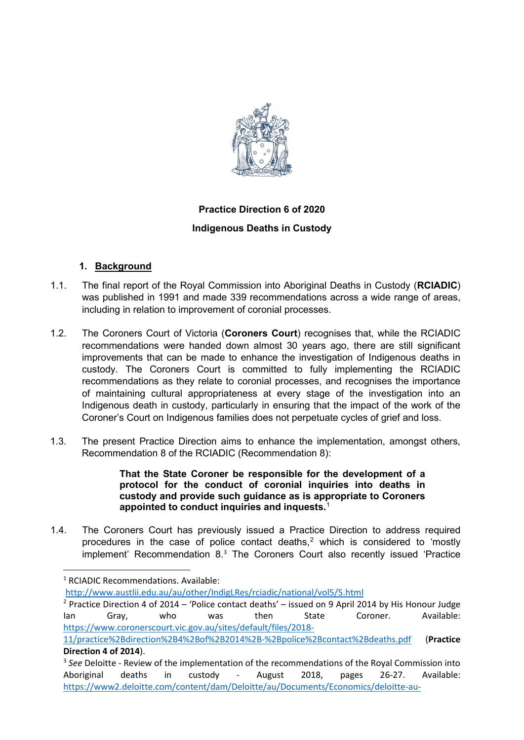

# **Practice Direction 6 of 2020 Indigenous Deaths in Custody**

# **1. Background**

- 1.1. The final report of the Royal Commission into Aboriginal Deaths in Custody (**RCIADIC**) was published in 1991 and made 339 recommendations across a wide range of areas, including in relation to improvement of coronial processes.
- 1.2. The Coroners Court of Victoria (**Coroners Court**) recognises that, while the RCIADIC recommendations were handed down almost 30 years ago, there are still significant improvements that can be made to enhance the investigation of Indigenous deaths in custody. The Coroners Court is committed to fully implementing the RCIADIC recommendations as they relate to coronial processes, and recognises the importance of maintaining cultural appropriateness at every stage of the investigation into an Indigenous death in custody, particularly in ensuring that the impact of the work of the Coroner's Court on Indigenous families does not perpetuate cycles of grief and loss.
- 1.3. The present Practice Direction aims to enhance the implementation, amongst others, Recommendation 8 of the RCIADIC (Recommendation 8):

### **That the State Coroner be responsible for the development of a protocol for the conduct of coronial inquiries into deaths in custody and provide such guidance as is appropriate to Coroners appointed to conduct inquiries and inquests.**[1](#page-0-0)

1.4. The Coroners Court has previously issued a Practice Direction to address required procedures in the case of police contact deaths, $<sup>2</sup>$  $<sup>2</sup>$  $<sup>2</sup>$  which is considered to 'mostly</sup> implement' Recommendation 8.[3](#page-0-2) The Coroners Court also recently issued 'Practice

<span id="page-0-0"></span><sup>1</sup> RCIADIC Recommendations. Available:

<http://www.austlii.edu.au/au/other/IndigLRes/rciadic/national/vol5/5.html>

<span id="page-0-1"></span><sup>2</sup> Practice Direction 4 of 2014 – 'Police contact deaths' – issued on 9 April 2014 by His Honour Judge Ian Gray, who was then State Coroner. Available: [https://www.coronerscourt.vic.gov.au/sites/default/files/2018-](https://www.coronerscourt.vic.gov.au/sites/default/files/2018-11/practice%2Bdirection%2B4%2Bof%2B2014%2B-%2Bpolice%2Bcontact%2Bdeaths.pdf)

[<sup>11/</sup>practice%2Bdirection%2B4%2Bof%2B2014%2B-%2Bpolice%2Bcontact%2Bdeaths.pdf](https://www.coronerscourt.vic.gov.au/sites/default/files/2018-11/practice%2Bdirection%2B4%2Bof%2B2014%2B-%2Bpolice%2Bcontact%2Bdeaths.pdf) (**Practice Direction 4 of 2014**).

<span id="page-0-2"></span><sup>&</sup>lt;sup>3</sup> See Deloitte - Review of the implementation of the recommendations of the Royal Commission into Aboriginal deaths in custody - August 2018, pages 26-27. Available: [https://www2.deloitte.com/content/dam/Deloitte/au/Documents/Economics/deloitte-au-](https://www2.deloitte.com/content/dam/Deloitte/au/Documents/Economics/deloitte-au-economics-review-implementation-recommendations-royal-commission-aboriginal-deaths-custody-251018.pdf)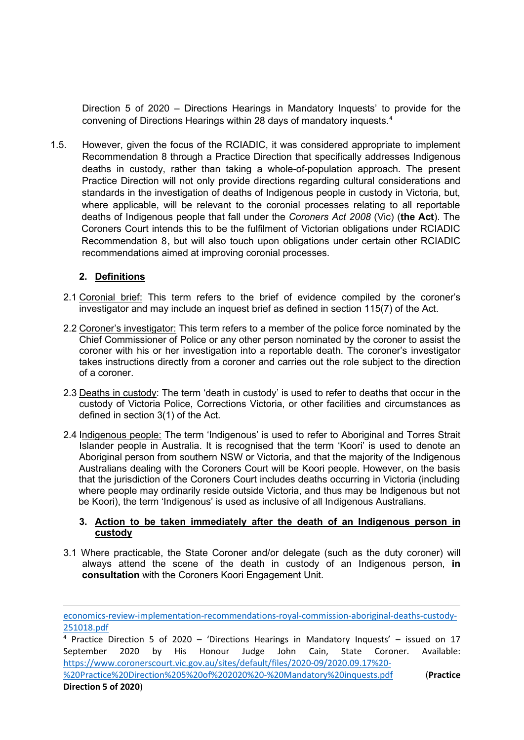Direction 5 of 2020 – Directions Hearings in Mandatory Inquests' to provide for the convening of Directions Hearings within 28 days of mandatory inquests.[4](#page-1-0)

1.5. However, given the focus of the RCIADIC, it was considered appropriate to implement Recommendation 8 through a Practice Direction that specifically addresses Indigenous deaths in custody, rather than taking a whole-of-population approach. The present Practice Direction will not only provide directions regarding cultural considerations and standards in the investigation of deaths of Indigenous people in custody in Victoria, but, where applicable, will be relevant to the coronial processes relating to all reportable deaths of Indigenous people that fall under the *Coroners Act 2008* (Vic) (**the Act**). The Coroners Court intends this to be the fulfilment of Victorian obligations under RCIADIC Recommendation 8, but will also touch upon obligations under certain other RCIADIC recommendations aimed at improving coronial processes.

# **2. Definitions**

- 2.1 Coronial brief: This term refers to the brief of evidence compiled by the coroner's investigator and may include an inquest brief as defined in section 115(7) of the Act.
- 2.2 Coroner's investigator: This term refers to a member of the police force nominated by the Chief Commissioner of Police or any other person nominated by the coroner to assist the coroner with his or her investigation into a reportable death. The coroner's investigator takes instructions directly from a coroner and carries out the role subject to the direction of a coroner.
- 2.3 Deaths in custody: The term 'death in custody' is used to refer to deaths that occur in the custody of Victoria Police, Corrections Victoria, or other facilities and circumstances as defined in section 3(1) of the Act.
- 2.4 Indigenous people: The term 'Indigenous' is used to refer to Aboriginal and Torres Strait Islander people in Australia. It is recognised that the term 'Koori' is used to denote an Aboriginal person from southern NSW or Victoria, and that the majority of the Indigenous Australians dealing with the Coroners Court will be Koori people. However, on the basis that the jurisdiction of the Coroners Court includes deaths occurring in Victoria (including where people may ordinarily reside outside Victoria, and thus may be Indigenous but not be Koori), the term 'Indigenous' is used as inclusive of all Indigenous Australians.

#### **3. Action to be taken immediately after the death of an Indigenous person in custody**

3.1 Where practicable, the State Coroner and/or delegate (such as the duty coroner) will always attend the scene of the death in custody of an Indigenous person, **in consultation** with the Coroners Koori Engagement Unit.

[economics-review-implementation-recommendations-royal-commission-aboriginal-deaths-custody-](https://www2.deloitte.com/content/dam/Deloitte/au/Documents/Economics/deloitte-au-economics-review-implementation-recommendations-royal-commission-aboriginal-deaths-custody-251018.pdf)[251018.pdf](https://www2.deloitte.com/content/dam/Deloitte/au/Documents/Economics/deloitte-au-economics-review-implementation-recommendations-royal-commission-aboriginal-deaths-custody-251018.pdf)

<span id="page-1-0"></span><sup>&</sup>lt;sup>4</sup> Practice Direction 5 of 2020 – 'Directions Hearings in Mandatory Inquests' – issued on 17 September 2020 by His Honour Judge John Cain, State Coroner. Available: [https://www.coronerscourt.vic.gov.au/sites/default/files/2020-09/2020.09.17%20-](https://www.coronerscourt.vic.gov.au/sites/default/files/2020-09/2020.09.17%20-%20Practice%20Direction%205%20of%202020%20-%20Mandatory%20inquests.pdf)

[<sup>%20</sup>Practice%20Direction%205%20of%202020%20-%20Mandatory%20inquests.pdf](https://www.coronerscourt.vic.gov.au/sites/default/files/2020-09/2020.09.17%20-%20Practice%20Direction%205%20of%202020%20-%20Mandatory%20inquests.pdf) (**Practice Direction 5 of 2020**)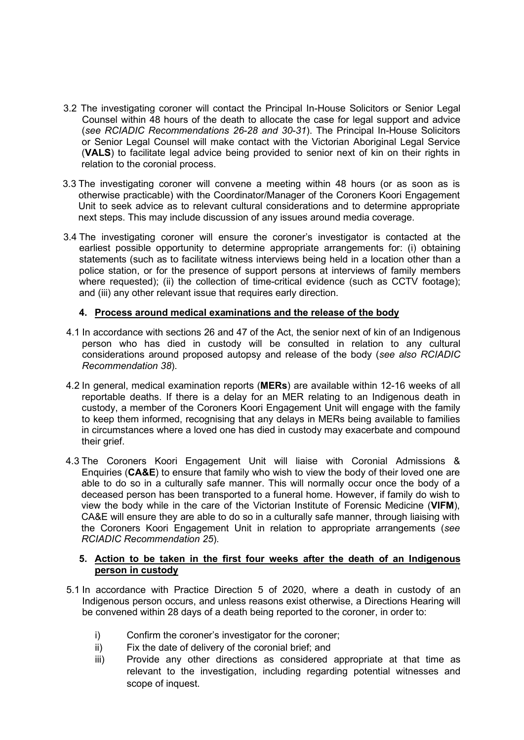- 3.2 The investigating coroner will contact the Principal In-House Solicitors or Senior Legal Counsel within 48 hours of the death to allocate the case for legal support and advice (*see RCIADIC Recommendations 26-28 and 30-31*). The Principal In-House Solicitors or Senior Legal Counsel will make contact with the Victorian Aboriginal Legal Service (**VALS**) to facilitate legal advice being provided to senior next of kin on their rights in relation to the coronial process.
- 3.3 The investigating coroner will convene a meeting within 48 hours (or as soon as is otherwise practicable) with the Coordinator/Manager of the Coroners Koori Engagement Unit to seek advice as to relevant cultural considerations and to determine appropriate next steps. This may include discussion of any issues around media coverage.
- 3.4 The investigating coroner will ensure the coroner's investigator is contacted at the earliest possible opportunity to determine appropriate arrangements for: (i) obtaining statements (such as to facilitate witness interviews being held in a location other than a police station, or for the presence of support persons at interviews of family members where requested); (ii) the collection of time-critical evidence (such as CCTV footage); and (iii) any other relevant issue that requires early direction.

## **4. Process around medical examinations and the release of the body**

- 4.1 In accordance with sections 26 and 47 of the Act, the senior next of kin of an Indigenous person who has died in custody will be consulted in relation to any cultural considerations around proposed autopsy and release of the body (*see also RCIADIC Recommendation 38*).
- 4.2 In general, medical examination reports (**MERs**) are available within 12-16 weeks of all reportable deaths. If there is a delay for an MER relating to an Indigenous death in custody, a member of the Coroners Koori Engagement Unit will engage with the family to keep them informed, recognising that any delays in MERs being available to families in circumstances where a loved one has died in custody may exacerbate and compound their grief.
- 4.3 The Coroners Koori Engagement Unit will liaise with Coronial Admissions & Enquiries (**CA&E**) to ensure that family who wish to view the body of their loved one are able to do so in a culturally safe manner. This will normally occur once the body of a deceased person has been transported to a funeral home. However, if family do wish to view the body while in the care of the Victorian Institute of Forensic Medicine (**VIFM**), CA&E will ensure they are able to do so in a culturally safe manner, through liaising with the Coroners Koori Engagement Unit in relation to appropriate arrangements (*see RCIADIC Recommendation 25*).

### **5. Action to be taken in the first four weeks after the death of an Indigenous person in custody**

- 5.1 In accordance with Practice Direction 5 of 2020, where a death in custody of an Indigenous person occurs, and unless reasons exist otherwise, a Directions Hearing will be convened within 28 days of a death being reported to the coroner, in order to:
	- i) Confirm the coroner's investigator for the coroner;
	- ii) Fix the date of delivery of the coronial brief; and
	- iii) Provide any other directions as considered appropriate at that time as relevant to the investigation, including regarding potential witnesses and scope of inquest.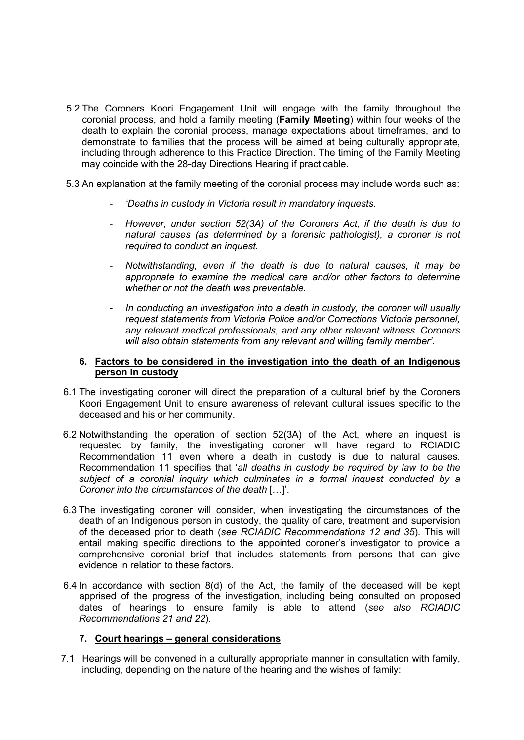- 5.2 The Coroners Koori Engagement Unit will engage with the family throughout the coronial process, and hold a family meeting (**Family Meeting**) within four weeks of the death to explain the coronial process, manage expectations about timeframes, and to demonstrate to families that the process will be aimed at being culturally appropriate, including through adherence to this Practice Direction. The timing of the Family Meeting may coincide with the 28-day Directions Hearing if practicable.
- 5.3 An explanation at the family meeting of the coronial process may include words such as:
	- *'Deaths in custody in Victoria result in mandatory inquests.*
	- *However, under section 52(3A) of the Coroners Act, if the death is due to natural causes (as determined by a forensic pathologist), a coroner is not required to conduct an inquest.*
	- *Notwithstanding, even if the death is due to natural causes, it may be appropriate to examine the medical care and/or other factors to determine whether or not the death was preventable.*
	- *In conducting an investigation into a death in custody, the coroner will usually request statements from Victoria Police and/or Corrections Victoria personnel, any relevant medical professionals, and any other relevant witness. Coroners will also obtain statements from any relevant and willing family member'.*

#### **6. Factors to be considered in the investigation into the death of an Indigenous person in custody**

- 6.1 The investigating coroner will direct the preparation of a cultural brief by the Coroners Koori Engagement Unit to ensure awareness of relevant cultural issues specific to the deceased and his or her community.
- 6.2 Notwithstanding the operation of section 52(3A) of the Act, where an inquest is requested by family, the investigating coroner will have regard to RCIADIC Recommendation 11 even where a death in custody is due to natural causes. Recommendation 11 specifies that '*all deaths in custody be required by law to be the subject of a coronial inquiry which culminates in a formal inquest conducted by a Coroner into the circumstances of the death* […]'.
- 6.3 The investigating coroner will consider, when investigating the circumstances of the death of an Indigenous person in custody, the quality of care, treatment and supervision of the deceased prior to death (*see RCIADIC Recommendations 12 and 35*). This will entail making specific directions to the appointed coroner's investigator to provide a comprehensive coronial brief that includes statements from persons that can give evidence in relation to these factors.
- 6.4 In accordance with section 8(d) of the Act, the family of the deceased will be kept apprised of the progress of the investigation, including being consulted on proposed dates of hearings to ensure family is able to attend (*see also RCIADIC Recommendations 21 and 22*).

#### **7. Court hearings – general considerations**

7.1 Hearings will be convened in a culturally appropriate manner in consultation with family, including, depending on the nature of the hearing and the wishes of family: